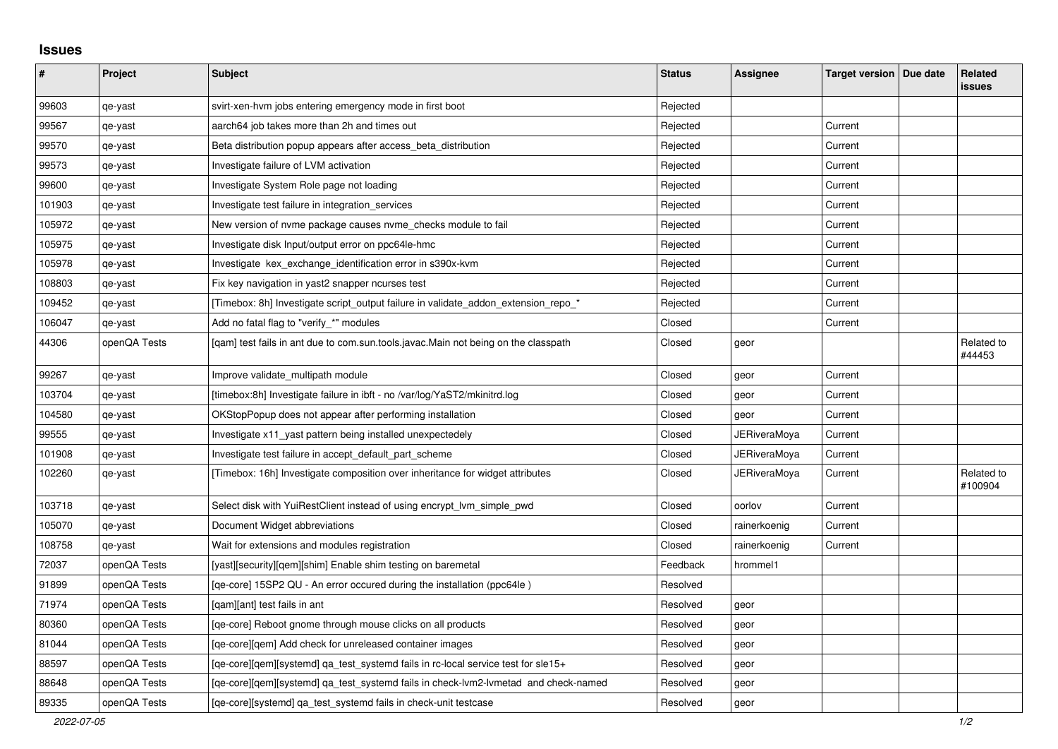## **Issues**

| $\pmb{\#}$ | Project      | <b>Subject</b>                                                                      | <b>Status</b> | Assignee            | Target version   Due date | Related<br><b>issues</b> |
|------------|--------------|-------------------------------------------------------------------------------------|---------------|---------------------|---------------------------|--------------------------|
| 99603      | qe-yast      | svirt-xen-hvm jobs entering emergency mode in first boot                            | Rejected      |                     |                           |                          |
| 99567      | qe-yast      | aarch64 job takes more than 2h and times out                                        | Rejected      |                     | Current                   |                          |
| 99570      | qe-yast      | Beta distribution popup appears after access_beta_distribution                      | Rejected      |                     | Current                   |                          |
| 99573      | qe-yast      | Investigate failure of LVM activation                                               | Rejected      |                     | Current                   |                          |
| 99600      | qe-yast      | Investigate System Role page not loading                                            | Rejected      |                     | Current                   |                          |
| 101903     | qe-yast      | Investigate test failure in integration services                                    | Rejected      |                     | Current                   |                          |
| 105972     | qe-yast      | New version of nyme package causes nyme checks module to fail                       | Rejected      |                     | Current                   |                          |
| 105975     | qe-yast      | Investigate disk Input/output error on ppc64le-hmc                                  | Rejected      |                     | Current                   |                          |
| 105978     | qe-yast      | Investigate kex_exchange_identification error in s390x-kvm                          | Rejected      |                     | Current                   |                          |
| 108803     | qe-yast      | Fix key navigation in yast2 snapper ncurses test                                    | Rejected      |                     | Current                   |                          |
| 109452     | qe-yast      | [Timebox: 8h] Investigate script output failure in validate addon extension repo *  | Rejected      |                     | Current                   |                          |
| 106047     | qe-yast      | Add no fatal flag to "verify_*" modules                                             | Closed        |                     | Current                   |                          |
| 44306      | openQA Tests | [qam] test fails in ant due to com.sun.tools.javac.Main not being on the classpath  | Closed        | geor                |                           | Related to<br>#44453     |
| 99267      | qe-yast      | Improve validate_multipath module                                                   | Closed        | geor                | Current                   |                          |
| 103704     | qe-yast      | [timebox:8h] Investigate failure in ibft - no /var/log/YaST2/mkinitrd.log           | Closed        | geor                | Current                   |                          |
| 104580     | qe-yast      | OKStopPopup does not appear after performing installation                           | Closed        | geor                | Current                   |                          |
| 99555      | qe-yast      | Investigate x11_yast pattern being installed unexpectedely                          | Closed        | JERiveraMoya        | Current                   |                          |
| 101908     | qe-yast      | Investigate test failure in accept_default_part_scheme                              | Closed        | <b>JERiveraMoya</b> | Current                   |                          |
| 102260     | qe-yast      | [Timebox: 16h] Investigate composition over inheritance for widget attributes       | Closed        | JERiveraMoya        | Current                   | Related to<br>#100904    |
| 103718     | qe-yast      | Select disk with YuiRestClient instead of using encrypt_lvm_simple_pwd              | Closed        | oorlov              | Current                   |                          |
| 105070     | qe-yast      | Document Widget abbreviations                                                       | Closed        | rainerkoenig        | Current                   |                          |
| 108758     | qe-yast      | Wait for extensions and modules registration                                        | Closed        | rainerkoenig        | Current                   |                          |
| 72037      | openQA Tests | [yast][security][gem][shim] Enable shim testing on baremetal                        | Feedback      | hrommel1            |                           |                          |
| 91899      | openQA Tests | [qe-core] 15SP2 QU - An error occured during the installation (ppc64le)             | Resolved      |                     |                           |                          |
| 71974      | openQA Tests | [gam][ant] test fails in ant                                                        | Resolved      | geor                |                           |                          |
| 80360      | openQA Tests | [qe-core] Reboot gnome through mouse clicks on all products                         | Resolved      | geor                |                           |                          |
| 81044      | openQA Tests | [ge-core][gem] Add check for unreleased container images                            | Resolved      | geor                |                           |                          |
| 88597      | openQA Tests | [qe-core][qem][systemd] qa_test_systemd fails in rc-local service test for sle15+   | Resolved      | geor                |                           |                          |
| 88648      | openQA Tests | [qe-core][qem][systemd] qa_test_systemd fails in check-lvm2-lvmetad and check-named | Resolved      | geor                |                           |                          |
| 89335      | openQA Tests | [ge-core][systemd] ga test systemd fails in check-unit testcase                     | Resolved      | geor                |                           |                          |